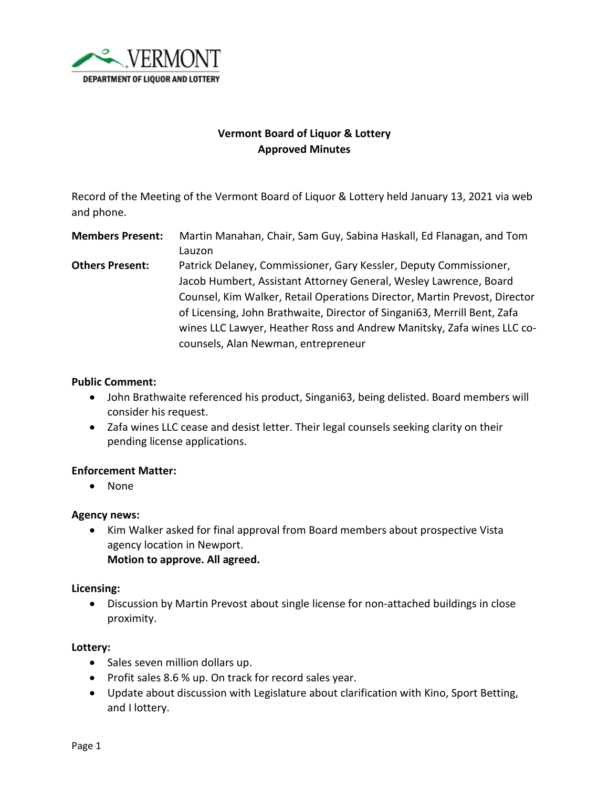

# **Vermont Board of Liquor & Lottery Approved Minutes**

Record of the Meeting of the Vermont Board of Liquor & Lottery held January 13, 2021 via web and phone.

**Members Present:** Martin Manahan, Chair, Sam Guy, Sabina Haskall, Ed Flanagan, and Tom Lauzon **Others Present:** Patrick Delaney, Commissioner, Gary Kessler, Deputy Commissioner, Jacob Humbert, Assistant Attorney General, Wesley Lawrence, Board Counsel, Kim Walker, Retail Operations Director, Martin Prevost, Director of Licensing, John Brathwaite, Director of Singani63, Merrill Bent, Zafa wines LLC Lawyer, Heather Ross and Andrew Manitsky, Zafa wines LLC cocounsels, Alan Newman, entrepreneur

### **Public Comment:**

- John Brathwaite referenced his product, Singani63, being delisted. Board members will consider his request.
- Zafa wines LLC cease and desist letter. Their legal counsels seeking clarity on their pending license applications.

# **Enforcement Matter:**

• None

### **Agency news:**

• Kim Walker asked for final approval from Board members about prospective Vista agency location in Newport. **Motion to approve. All agreed.** 

### **Licensing:**

• Discussion by Martin Prevost about single license for non-attached buildings in close proximity.

### **Lottery:**

- Sales seven million dollars up.
- Profit sales 8.6 % up. On track for record sales year.
- Update about discussion with Legislature about clarification with Kino, Sport Betting, and I lottery.